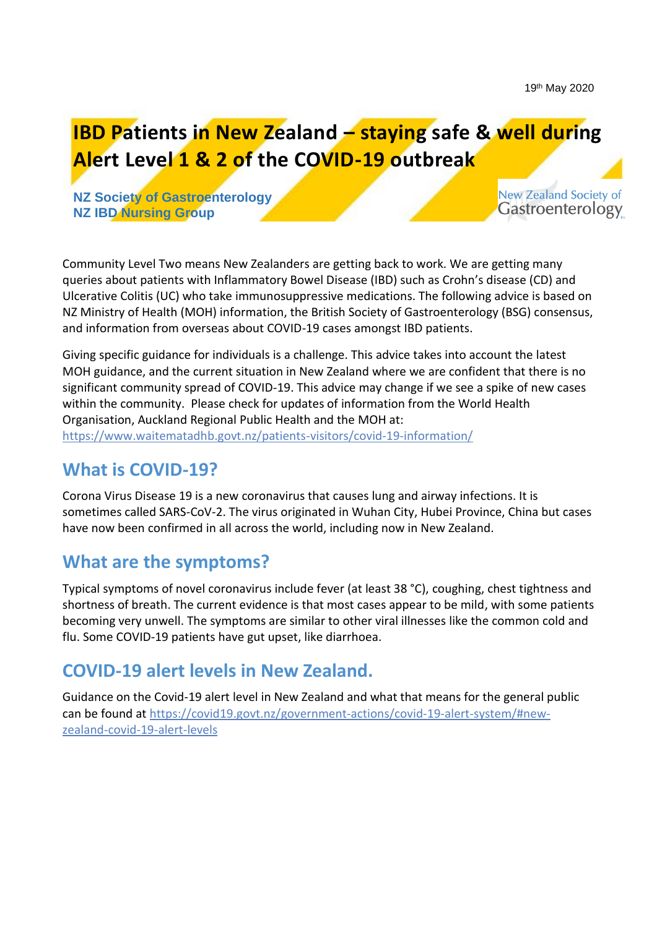**IBD Patients in New Zealand – staying safe & well during Alert Level 1 & 2 of the COVID-19 outbreak** 

**NZ Society of Gastroenterology NZ IBD Nursing Group**

**New Zealand Society of** Gastroenterology

Community Level Two means New Zealanders are getting back to work. We are getting many queries about patients with Inflammatory Bowel Disease (IBD) such as Crohn's disease (CD) and Ulcerative Colitis (UC) who take immunosuppressive medications. The following advice is based on NZ Ministry of Health (MOH) information, the British Society of Gastroenterology (BSG) consensus, and information from overseas about COVID-19 cases amongst IBD patients.

Giving specific guidance for individuals is a challenge. This advice takes into account the latest MOH guidance, and the current situation in New Zealand where we are confident that there is no significant community spread of COVID-19. This advice may change if we see a spike of new cases within the community. Please check for updates of information from the World Health Organisation, Auckland Regional Public Health and the MOH at: <https://www.waitematadhb.govt.nz/patients-visitors/covid-19-information/>

## **What is COVID-19?**

Corona Virus Disease 19 is a new coronavirus that causes lung and airway infections. It is sometimes called SARS-CoV-2. The virus originated in Wuhan City, Hubei Province, China but cases have now been confirmed in all across the world, including now in New Zealand.

### **What are the symptoms?**

Typical symptoms of novel coronavirus include fever (at least 38 °C), coughing, chest tightness and shortness of breath. The current evidence is that most cases appear to be mild, with some patients becoming very unwell. The symptoms are similar to other viral illnesses like the common cold and flu. Some COVID-19 patients have gut upset, like diarrhoea.

### **COVID-19 alert levels in New Zealand.**

Guidance on the Covid-19 alert level in New Zealand and what that means for the general public can be found at [https://covid19.govt.nz/government-actions/covid-19-alert-system/#new](https://covid19.govt.nz/government-actions/covid-19-alert-system/#new-zealand-covid-19-alert-levels)[zealand-covid-19-alert-levels](https://covid19.govt.nz/government-actions/covid-19-alert-system/#new-zealand-covid-19-alert-levels)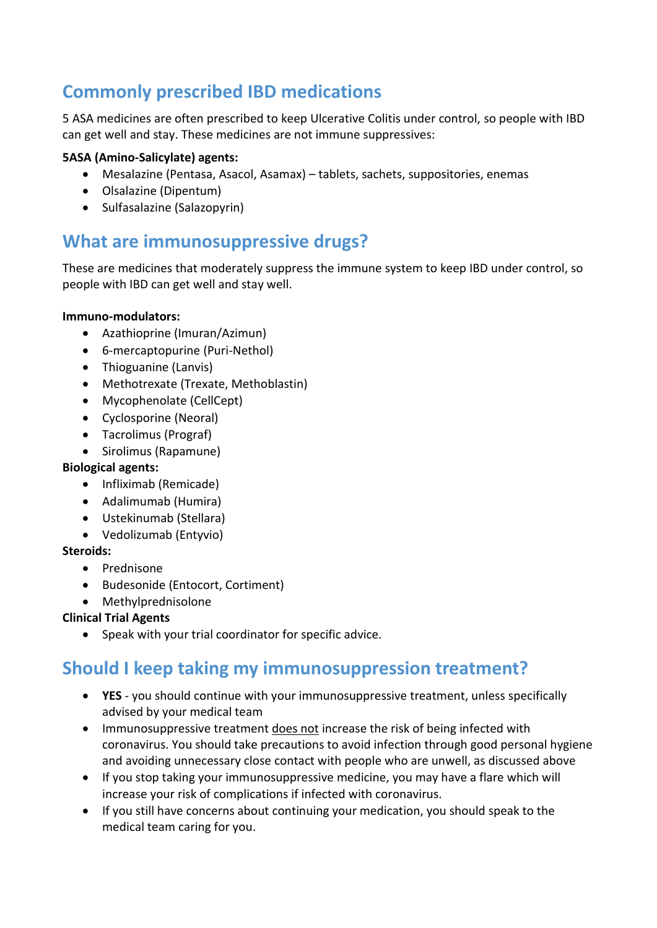# **Commonly prescribed IBD medications**

5 ASA medicines are often prescribed to keep Ulcerative Colitis under control, so people with IBD can get well and stay. These medicines are not immune suppressives:

### **5ASA (Amino-Salicylate) agents:**

- Mesalazine (Pentasa, Asacol, Asamax) tablets, sachets, suppositories, enemas
- Olsalazine (Dipentum)
- Sulfasalazine (Salazopyrin)

### **What are immunosuppressive drugs?**

These are medicines that moderately suppress the immune system to keep IBD under control, so people with IBD can get well and stay well.

#### **Immuno-modulators:**

- Azathioprine (Imuran/Azimun)
- 6-mercaptopurine (Puri-Nethol)
- Thioguanine (Lanvis)
- Methotrexate (Trexate, Methoblastin)
- Mycophenolate (CellCept)
- Cyclosporine (Neoral)
- Tacrolimus (Prograf)
- Sirolimus (Rapamune)

#### **Biological agents:**

- Infliximab (Remicade)
- Adalimumab (Humira)
- Ustekinumab (Stellara)
- Vedolizumab (Entyvio)

#### **Steroids:**

- Prednisone
- Budesonide (Entocort, Cortiment)
- Methylprednisolone

### **Clinical Trial Agents**

• Speak with your trial coordinator for specific advice.

# **Should I keep taking my immunosuppression treatment?**

- **YES**  you should continue with your immunosuppressive treatment, unless specifically advised by your medical team
- Immunosuppressive treatment does not increase the risk of being infected with coronavirus. You should take precautions to avoid infection through good personal hygiene and avoiding unnecessary close contact with people who are unwell, as discussed above
- If you stop taking your immunosuppressive medicine, you may have a flare which will increase your risk of complications if infected with coronavirus.
- If you still have concerns about continuing your medication, you should speak to the medical team caring for you.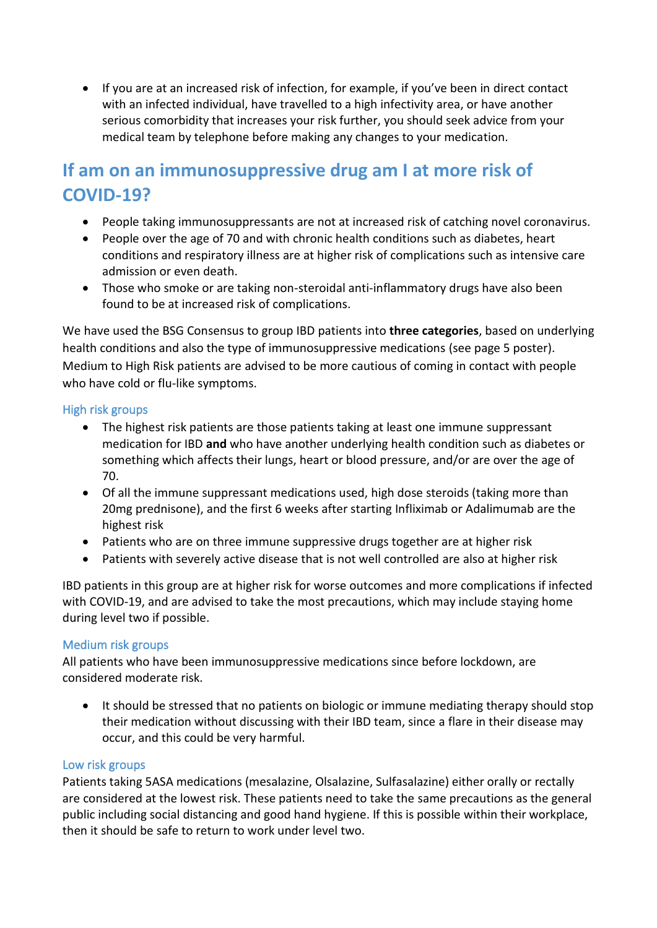• If you are at an increased risk of infection, for example, if you've been in direct contact with an infected individual, have travelled to a high infectivity area, or have another serious comorbidity that increases your risk further, you should seek advice from your medical team by telephone before making any changes to your medication.

## **If am on an immunosuppressive drug am I at more risk of COVID-19?**

- People taking immunosuppressants are not at increased risk of catching novel coronavirus.
- People over the age of 70 and with chronic health conditions such as diabetes, heart conditions and respiratory illness are at higher risk of complications such as intensive care admission or even death.
- Those who smoke or are taking non-steroidal anti-inflammatory drugs have also been found to be at increased risk of complications.

We have used the BSG Consensus to group IBD patients into **three categories**, based on underlying health conditions and also the type of immunosuppressive medications (see page 5 poster). Medium to High Risk patients are advised to be more cautious of coming in contact with people who have cold or flu-like symptoms.

### High risk groups

- The highest risk patients are those patients taking at least one immune suppressant medication for IBD **and** who have another underlying health condition such as diabetes or something which affects their lungs, heart or blood pressure, and/or are over the age of 70.
- Of all the immune suppressant medications used, high dose steroids (taking more than 20mg prednisone), and the first 6 weeks after starting Infliximab or Adalimumab are the highest risk
- Patients who are on three immune suppressive drugs together are at higher risk
- Patients with severely active disease that is not well controlled are also at higher risk

IBD patients in this group are at higher risk for worse outcomes and more complications if infected with COVID-19, and are advised to take the most precautions, which may include staying home during level two if possible.

#### Medium risk groups

All patients who have been immunosuppressive medications since before lockdown, are considered moderate risk.

• It should be stressed that no patients on biologic or immune mediating therapy should stop their medication without discussing with their IBD team, since a flare in their disease may occur, and this could be very harmful.

#### Low risk groups

Patients taking 5ASA medications (mesalazine, Olsalazine, Sulfasalazine) either orally or rectally are considered at the lowest risk. These patients need to take the same precautions as the general public including social distancing and good hand hygiene. If this is possible within their workplace, then it should be safe to return to work under level two.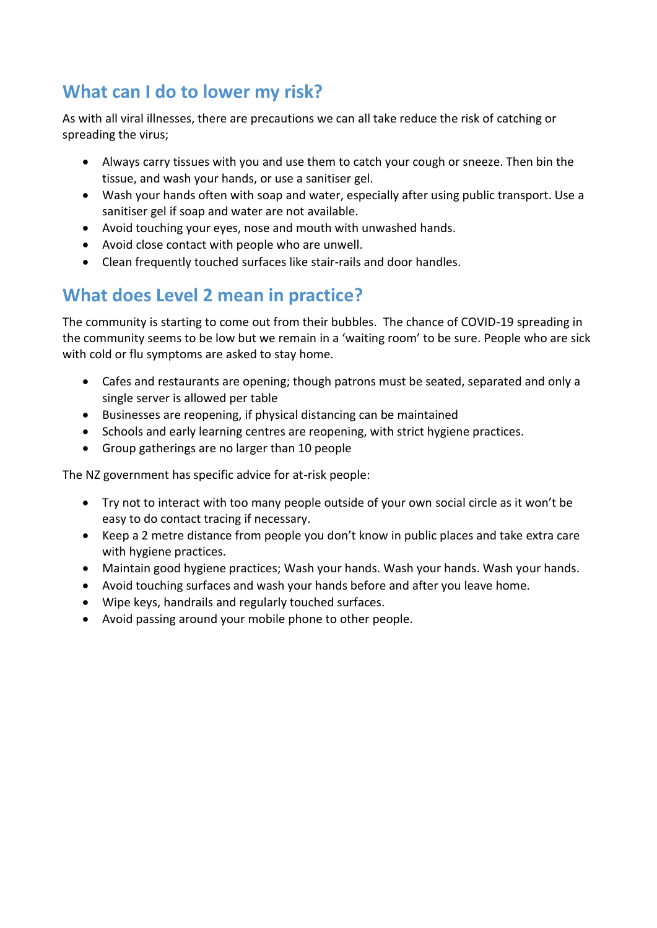# **What can I do to lower my risk?**

As with all viral illnesses, there are precautions we can all take reduce the risk of catching or spreading the virus;

- Always carry tissues with you and use them to catch your cough or sneeze. Then bin the tissue, and wash your hands, or use a sanitiser gel.
- Wash your hands often with soap and water, especially after using public transport. Use a sanitiser gel if soap and water are not available.
- Avoid touching your eyes, nose and mouth with unwashed hands.
- Avoid close contact with people who are unwell.
- Clean frequently touched surfaces like stair-rails and door handles.

# **What does Level 2 mean in practice?**

The community is starting to come out from their bubbles. The chance of COVID-19 spreading in the community seems to be low but we remain in a 'waiting room' to be sure. People who are sick with cold or flu symptoms are asked to stay home.

- Cafes and restaurants are opening; though patrons must be seated, separated and only a single server is allowed per table
- Businesses are reopening, if physical distancing can be maintained
- Schools and early learning centres are reopening, with strict hygiene practices.
- Group gatherings are no larger than 10 people

The NZ government has specific advice for at-risk people:

- Try not to interact with too many people outside of your own social circle as it won't be easy to do contact tracing if necessary.
- Keep a 2 metre distance from people you don't know in public places and take extra care with hygiene practices.
- Maintain good hygiene practices; Wash your hands. Wash your hands. Wash your hands.
- Avoid touching surfaces and wash your hands before and after you leave home.
- Wipe keys, handrails and regularly touched surfaces.
- Avoid passing around your mobile phone to other people.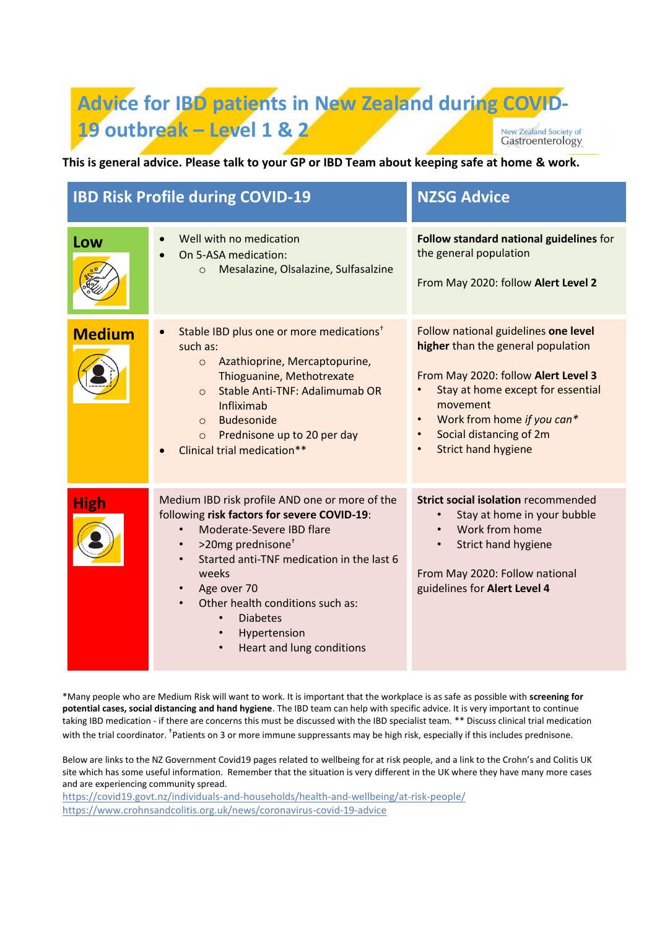#### **Advice for IBD patients in New Zealand during COVID-19 outbreak – Level 1 & 2**New Zealand Society of Gastroenterology

**This is general advice. Please talk to your GP or IBD Team about keeping safe at home & work.**

| <b>IBD Risk Profile during COVID-19</b> |                                                                                                                                                                                                                                                                                                                                                                                                                                 | <b>NZSG Advice</b>                                                                                                                                                                                                                                        |
|-----------------------------------------|---------------------------------------------------------------------------------------------------------------------------------------------------------------------------------------------------------------------------------------------------------------------------------------------------------------------------------------------------------------------------------------------------------------------------------|-----------------------------------------------------------------------------------------------------------------------------------------------------------------------------------------------------------------------------------------------------------|
| Low                                     | Well with no medication<br>On 5-ASA medication:<br>Mesalazine, Olsalazine, Sulfasalzine<br>$\circ$                                                                                                                                                                                                                                                                                                                              | Follow standard national guidelines for<br>the general population<br>From May 2020: follow Alert Level 2                                                                                                                                                  |
| <b>Medium</b>                           | Stable IBD plus one or more medications <sup>+</sup><br>$\bullet$<br>such as:<br>Azathioprine, Mercaptopurine,<br>$\circ$<br>Thioguanine, Methotrexate<br>Stable Anti-TNF: Adalimumab OR<br>$\Omega$<br>Infliximab<br>Budesonide<br>$\Omega$<br>Prednisone up to 20 per day<br>$\circ$<br>Clinical trial medication**                                                                                                           | Follow national guidelines one level<br>higher than the general population<br>From May 2020: follow Alert Level 3<br>Stay at home except for essential<br>movement<br>Work from home if you can*<br>Social distancing of 2m<br><b>Strict hand hygiene</b> |
| <b>High</b>                             | Medium IBD risk profile AND one or more of the<br>following risk factors for severe COVID-19:<br>Moderate-Severe IBD flare<br>$\bullet$<br>>20mg prednisone <sup>+</sup><br>$\bullet$<br>Started anti-TNF medication in the last 6<br>$\bullet$<br>weeks<br>Age over 70<br>$\bullet$<br>Other health conditions such as:<br><b>Diabetes</b><br>$\bullet$<br>Hypertension<br>$\bullet$<br>Heart and lung conditions<br>$\bullet$ | <b>Strict social isolation recommended</b><br>Stay at home in your bubble<br>Work from home<br>Strict hand hygiene<br>From May 2020: Follow national<br>guidelines for Alert Level 4                                                                      |

\*Many people who are Medium Risk will want to work. It is important that the workplace is as safe as possible with **screening for potential cases, social distancing and hand hygiene**. The IBD team can help with specific advice. It is very important to continue taking IBD medication - if there are concerns this must be discussed with the IBD specialist team. \*\* Discuss clinical trial medication with the trial coordinator. <sup>†</sup>Patients on 3 or more immune suppressants may be high risk, especially if this includes prednisone.

Below are links to the NZ Government Covid19 pages related to wellbeing for at risk people, and a link to the Crohn's and Colitis UK site which has some useful information. Remember that the situation is very different in the UK where they have many more cases and are experiencing community spread.

[https://covid19.govt.nz/individuals-and-households/health-and-wellbeing/at-risk-people/](https://webmail.hanz.health.nz/owa/redir.aspx?C=Xk-0-7-ZBoeBWKZlYpr_bTrTGBVTTepk2iI-8K_4gRsum4jx1fbXCA..&URL=https%3a%2f%2fcovid19.govt.nz%2findividuals-and-households%2fhealth-and-wellbeing%2fat-risk-people%2f) [https://www.crohnsandcolitis.org.uk/news/coronavirus-covid-19-advice](https://webmail.hanz.health.nz/owa/redir.aspx?C=hFuyhPZX4yic0kmXoZWBcG0if5q2yIBoX2ATMVX7-sU_wojx1fbXCA..&URL=https%3a%2f%2fwww.crohnsandcolitis.org.uk%2fnews%2fcoronavirus-covid-19-advice)